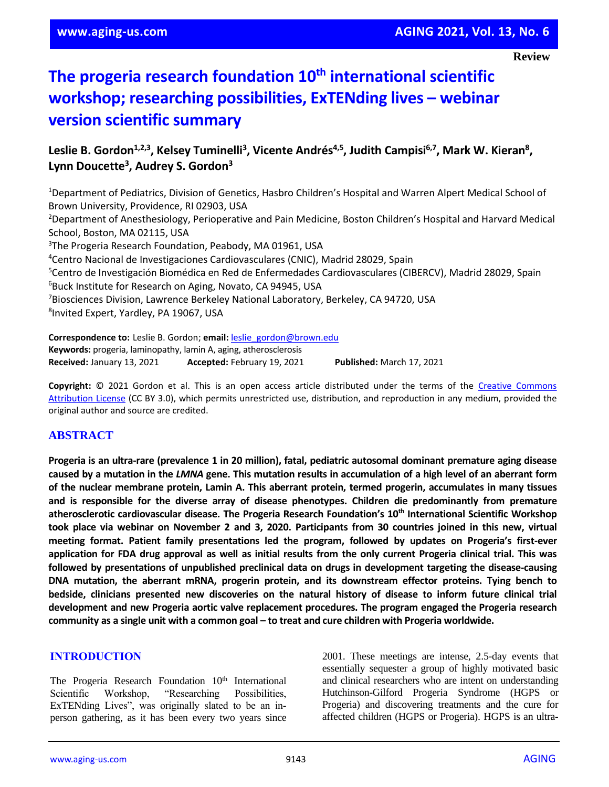#### **Review**

# **The progeria research foundation 10th international scientific workshop; researching possibilities, ExTENding lives – webinar version scientific summary**

## **Leslie B. Gordon1,2,3, Kelsey Tuminelli<sup>3</sup> , Vicente Andrés4,5 , Judith Campisi6,7, Mark W. Kieran<sup>8</sup> , Lynn Doucette<sup>3</sup> , Audrey S. Gordon<sup>3</sup>**

<sup>1</sup>Department of Pediatrics, Division of Genetics, Hasbro Children's Hospital and Warren Alpert Medical School of Brown University, Providence, RI 02903, USA

<sup>2</sup>Department of Anesthesiology, Perioperative and Pain Medicine, Boston Children's Hospital and Harvard Medical School, Boston, MA 02115, USA

<sup>3</sup>The Progeria Research Foundation, Peabody, MA 01961, USA

<sup>4</sup>Centro Nacional de Investigaciones Cardiovasculares (CNIC), Madrid 28029, Spain

<sup>5</sup>Centro de Investigación Biomédica en Red de Enfermedades Cardiovasculares (CIBERCV), Madrid 28029, Spain <sup>6</sup>Buck Institute for Research on Aging, Novato, CA 94945, USA

<sup>7</sup>Biosciences Division, Lawrence Berkeley National Laboratory, Berkeley, CA 94720, USA

8 Invited Expert, Yardley, PA 19067, USA

**Correspondence to:** Leslie B. Gordon; **email:** [leslie\\_gordon@brown.edu](mailto:leslie_gordon@brown.edu) **Keywords:** progeria, laminopathy, lamin A, aging, atherosclerosis **Received:** January 13, 2021 **Accepted:** February 19, 2021 **Published:** March 17, 2021

Copyright: © 2021 Gordon et al. This is an open access article distributed under the terms of the Creative Commons [Attribution License](https://creativecommons.org/licenses/by/3.0/) (CC BY 3.0), which permits unrestricted use, distribution, and reproduction in any medium, provided the original author and source are credited.

## **ABSTRACT**

Progeria is an ultra-rare (prevalence 1 in 20 million), fatal, pediatric autosomal dominant premature aging disease caused by a mutation in the LMNA gene. This mutation results in accumulation of a high level of an aberrant form **of the nuclear membrane protein, Lamin A. This aberrant protein, termed progerin, accumulates in many tissues and is responsible for the diverse array of disease phenotypes. Children die predominantly from premature atherosclerotic cardiovascular disease. The Progeria Research Foundation's 10th International Scientific Workshop** took place via webinar on November 2 and 3, 2020. Participants from 30 countries joined in this new, virtual **meeting format. Patient family presentations led the program, followed by updates on Progeria's first-ever** application for FDA drug approval as well as initial results from the only current Progeria clinical trial. This was **followed by presentations of unpublished preclinical data on drugs in development targeting the disease-causing DNA mutation, the aberrant mRNA, progerin protein, and its downstream effector proteins. Tying bench to bedside, clinicians presented new discoveries on the natural history of disease to inform future clinical trial development and new Progeria aortic valve replacement procedures. The program engaged the Progeria research** community as a single unit with a common goal – to treat and cure children with Progeria worldwide.

#### **INTRODUCTION**

The Progeria Research Foundation 10<sup>th</sup> International Scientific Workshop, "Researching Possibilities, ExTENding Lives", was originally slated to be an inperson gathering, as it has been every two years since 2001. These meetings are intense, 2.5-day events that essentially sequester a group of highly motivated basic and clinical researchers who are intent on understanding Hutchinson-Gilford Progeria Syndrome (HGPS or Progeria) and discovering treatments and the cure for affected children (HGPS or Progeria). HGPS is an ultra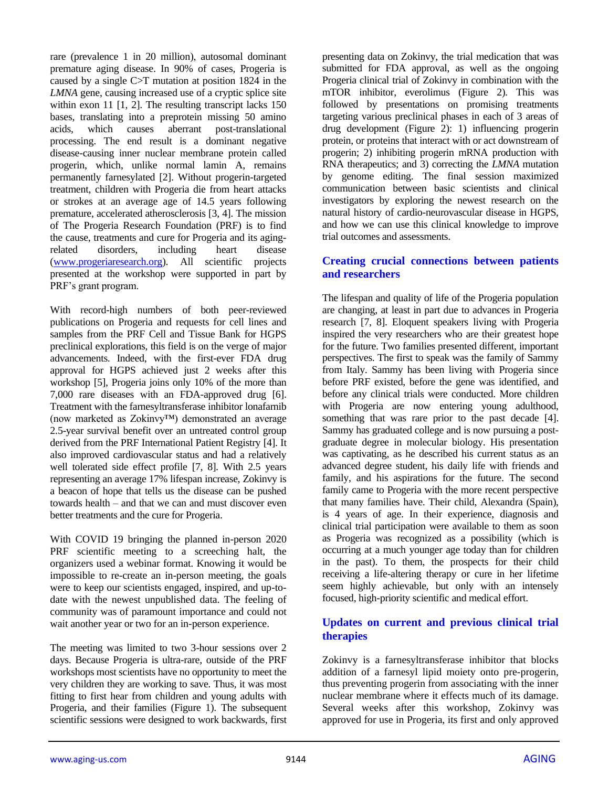rare (prevalence 1 in 20 million), autosomal dominant premature aging disease. In 90% of cases, Progeria is caused by a single C>T mutation at position 1824 in the *LMNA* gene, causing increased use of a cryptic splice site within exon 11 [1, 2]. The resulting transcript lacks 150 bases, translating into a preprotein missing 50 amino acids, which causes aberrant post-translational processing. The end result is a dominant negative disease-causing inner nuclear membrane protein called progerin, which, unlike normal lamin A, remains permanently farnesylated [2]. Without progerin-targeted treatment, children with Progeria die from heart attacks or strokes at an average age of 14.5 years following premature, accelerated atherosclerosis [3, 4]. The mission of The Progeria Research Foundation (PRF) is to find the cause, treatments and cure for Progeria and its agingrelated disorders, including heart disease [\(www.progeriaresearch.org\)](http://www.progeriaresearch.org/). All scientific projects presented at the workshop were supported in part by PRF's grant program.

With record-high numbers of both peer-reviewed publications on Progeria and requests for cell lines and samples from the PRF Cell and Tissue Bank for HGPS preclinical explorations, this field is on the verge of major advancements. Indeed, with the first-ever FDA drug approval for HGPS achieved just 2 weeks after this workshop [5], Progeria joins only 10% of the more than 7,000 rare diseases with an FDA-approved drug [6]. Treatment with the farnesyltransferase inhibitor lonafarnib (now marketed as Zokinvy™) demonstrated an average 2.5-year survival benefit over an untreated control group derived from the PRF International Patient Registry [4]. It also improved cardiovascular status and had a relatively well tolerated side effect profile [7, 8]. With 2.5 years representing an average 17% lifespan increase, Zokinvy is a beacon of hope that tells us the disease can be pushed towards health – and that we can and must discover even better treatments and the cure for Progeria.

With COVID 19 bringing the planned in-person 2020 PRF scientific meeting to a screeching halt, the organizers used a webinar format. Knowing it would be impossible to re-create an in-person meeting, the goals were to keep our scientists engaged, inspired, and up-todate with the newest unpublished data. The feeling of community was of paramount importance and could not wait another year or two for an in-person experience.

The meeting was limited to two 3-hour sessions over 2 days. Because Progeria is ultra-rare, outside of the PRF workshops most scientists have no opportunity to meet the very children they are working to save. Thus, it was most fitting to first hear from children and young adults with Progeria, and their families (Figure 1). The subsequent scientific sessions were designed to work backwards, first

presenting data on Zokinvy, the trial medication that was submitted for FDA approval, as well as the ongoing Progeria clinical trial of Zokinvy in combination with the mTOR inhibitor, everolimus (Figure 2). This was followed by presentations on promising treatments targeting various preclinical phases in each of 3 areas of drug development (Figure 2): 1) influencing progerin protein, or proteins that interact with or act downstream of progerin; 2) inhibiting progerin mRNA production with RNA therapeutics; and 3) correcting the *LMNA* mutation by genome editing. The final session maximized communication between basic scientists and clinical investigators by exploring the newest research on the natural history of cardio-neurovascular disease in HGPS, and how we can use this clinical knowledge to improve trial outcomes and assessments.

#### **Creating crucial connections between patients and researchers**

The lifespan and quality of life of the Progeria population are changing, at least in part due to advances in Progeria research [7, 8]. Eloquent speakers living with Progeria inspired the very researchers who are their greatest hope for the future. Two families presented different, important perspectives. The first to speak was the family of Sammy from Italy. Sammy has been living with Progeria since before PRF existed, before the gene was identified, and before any clinical trials were conducted. More children with Progeria are now entering young adulthood, something that was rare prior to the past decade [4]. Sammy has graduated college and is now pursuing a postgraduate degree in molecular biology. His presentation was captivating, as he described his current status as an advanced degree student, his daily life with friends and family, and his aspirations for the future. The second family came to Progeria with the more recent perspective that many families have. Their child, Alexandra (Spain), is 4 years of age. In their experience, diagnosis and clinical trial participation were available to them as soon as Progeria was recognized as a possibility (which is occurring at a much younger age today than for children in the past). To them, the prospects for their child receiving a life-altering therapy or cure in her lifetime seem highly achievable, but only with an intensely focused, high-priority scientific and medical effort.

## **Updates on current and previous clinical trial therapies**

Zokinvy is a farnesyltransferase inhibitor that blocks addition of a farnesyl lipid moiety onto pre-progerin, thus preventing progerin from associating with the inner nuclear membrane where it effects much of its damage. Several weeks after this workshop, Zokinvy was approved for use in Progeria, its first and only approved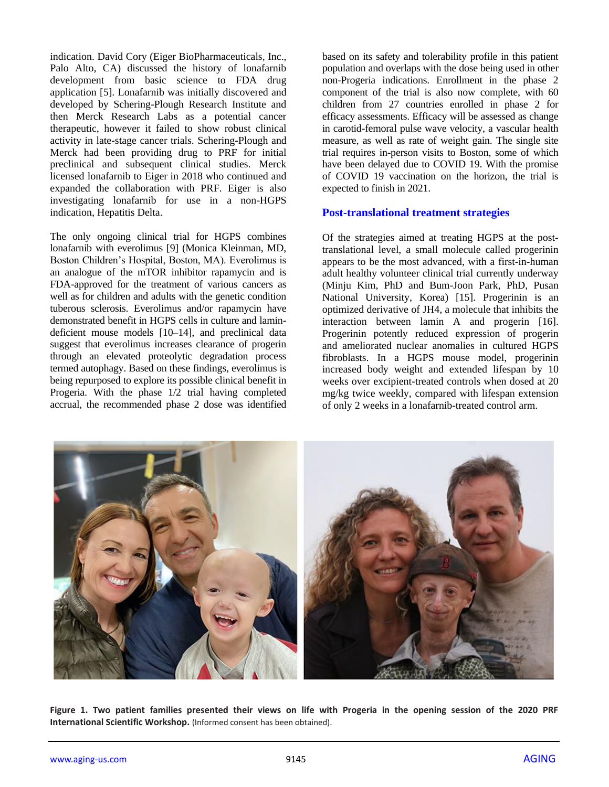indication. David Cory (Eiger BioPharmaceuticals, Inc., Palo Alto, CA) discussed the history of lonafarnib development from basic science to FDA drug application [5]. Lonafarnib was initially discovered and developed by Schering-Plough Research Institute and then Merck Research Labs as a potential cancer therapeutic, however it failed to show robust clinical activity in late-stage cancer trials. Schering-Plough and Merck had been providing drug to PRF for initial preclinical and subsequent clinical studies. Merck licensed lonafarnib to Eiger in 2018 who continued and expanded the collaboration with PRF. Eiger is also investigating lonafarnib for use in a non-HGPS indication, Hepatitis Delta.

The only ongoing clinical trial for HGPS combines lonafarnib with everolimus [9] (Monica Kleinman, MD, Boston Children's Hospital, Boston, MA). Everolimus is an analogue of the mTOR inhibitor rapamycin and is FDA-approved for the treatment of various cancers as well as for children and adults with the genetic condition tuberous sclerosis. Everolimus and/or rapamycin have demonstrated benefit in HGPS cells in culture and lamindeficient mouse models [10–14], and preclinical data suggest that everolimus increases clearance of progerin through an elevated proteolytic degradation process termed autophagy. Based on these findings, everolimus is being repurposed to explore its possible clinical benefit in Progeria. With the phase 1/2 trial having completed accrual, the recommended phase 2 dose was identified

based on its safety and tolerability profile in this patient population and overlaps with the dose being used in other non-Progeria indications. Enrollment in the phase 2 component of the trial is also now complete, with 60 children from 27 countries enrolled in phase 2 for efficacy assessments. Efficacy will be assessed as change in carotid-femoral pulse wave velocity, a vascular health measure, as well as rate of weight gain. The single site trial requires in-person visits to Boston, some of which have been delayed due to COVID 19. With the promise of COVID 19 vaccination on the horizon, the trial is expected to finish in 2021.

#### **Post-translational treatment strategies**

Of the strategies aimed at treating HGPS at the posttranslational level, a small molecule called progerinin appears to be the most advanced, with a first-in-human adult healthy volunteer clinical trial currently underway (Minju Kim, PhD and Bum-Joon Park, PhD, Pusan National University, Korea) [15]. Progerinin is an optimized derivative of JH4, a molecule that inhibits the interaction between lamin A and progerin [16]. Progerinin potently reduced expression of progerin and ameliorated nuclear anomalies in cultured HGPS fibroblasts. In a HGPS mouse model, progerinin increased body weight and extended lifespan by 10 weeks over excipient-treated controls when dosed at 20 mg/kg twice weekly, compared with lifespan extension of only 2 weeks in a lonafarnib-treated control arm.



**Figure 1. Two patient families presented their views on life with Progeria in the opening session of the 2020 PRF International Scientific Workshop.** (Informed consent has been obtained).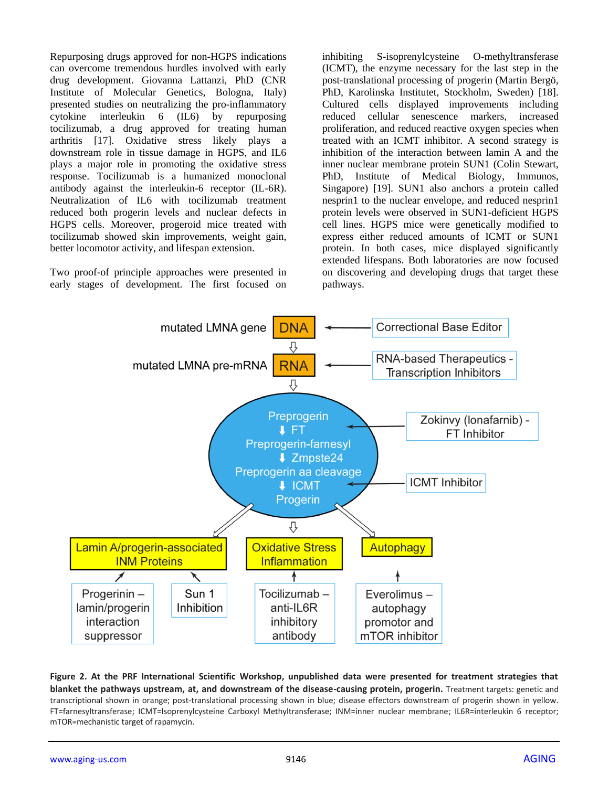Repurposing drugs approved for non-HGPS indications can overcome tremendous hurdles involved with early drug development. Giovanna Lattanzi, PhD (CNR Institute of Molecular Genetics, Bologna, Italy) presented studies on neutralizing the pro-inflammatory cytokine interleukin 6 (IL6) by repurposing tocilizumab, a drug approved for treating human arthritis [17]. Oxidative stress likely plays a downstream role in tissue damage in HGPS, and IL6 plays a major role in promoting the oxidative stress response. Tocilizumab is a humanized monoclonal antibody against the interleukin-6 receptor (IL-6R). Neutralization of IL6 with tocilizumab treatment reduced both progerin levels and nuclear defects in HGPS cells. Moreover, progeroid mice treated with tocilizumab showed skin improvements, weight gain, better locomotor activity, and lifespan extension.

Two proof-of principle approaches were presented in early stages of development. The first focused on

inhibiting S-isoprenylcysteine O-methyltransferase (ICMT), the enzyme necessary for the last step in the post-translational processing of progerin (Martin Bergö, PhD, Karolinska Institutet, Stockholm, Sweden) [18]. Cultured cells displayed improvements including reduced cellular senescence markers, increased proliferation, and reduced reactive oxygen species when treated with an ICMT inhibitor. A second strategy is inhibition of the interaction between lamin A and the inner nuclear membrane protein SUN1 (Colin Stewart, PhD, Institute of Medical Biology, Immunos, Singapore) [19]. SUN1 also anchors a protein called nesprin1 to the nuclear envelope, and reduced nesprin1 protein levels were observed in SUN1-deficient HGPS cell lines. HGPS mice were genetically modified to express either reduced amounts of ICMT or SUN1 protein. In both cases, mice displayed significantly extended lifespans. Both laboratories are now focused on discovering and developing drugs that target these pathways.



**Figure 2. At the PRF International Scientific Workshop, unpublished data were presented for treatment strategies that blanket the pathways upstream, at, and downstream of the disease-causing protein, progerin.** Treatment targets: genetic and transcriptional shown in orange; post-translational processing shown in blue; disease effectors downstream of progerin shown in yellow. FT=farnesyltransferase; ICMT=Isoprenylcysteine Carboxyl Methyltransferase; INM=inner nuclear membrane; IL6R=interleukin 6 receptor; mTOR=mechanistic target of rapamycin.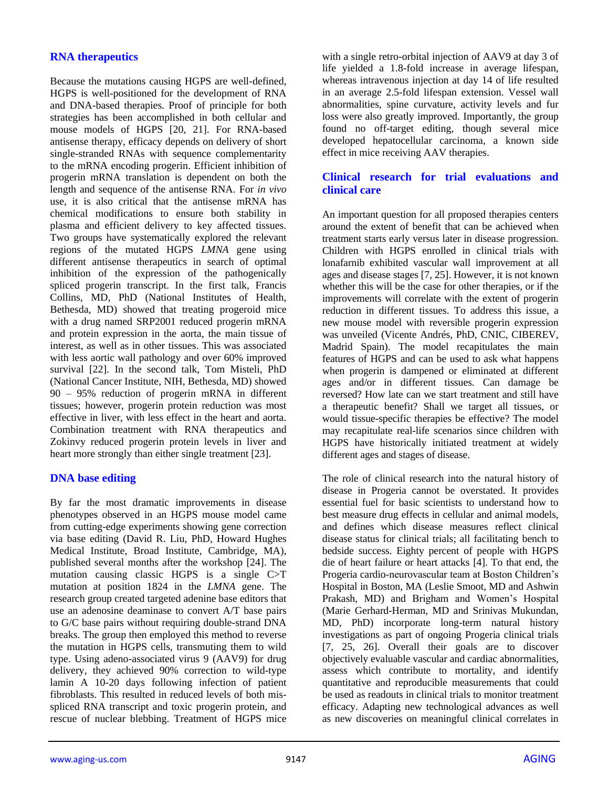## **RNA therapeutics**

Because the mutations causing HGPS are well-defined, HGPS is well-positioned for the development of RNA and DNA-based therapies. Proof of principle for both strategies has been accomplished in both cellular and mouse models of HGPS [20, 21]. For RNA-based antisense therapy, efficacy depends on delivery of short single-stranded RNAs with sequence complementarity to the mRNA encoding progerin. Efficient inhibition of progerin mRNA translation is dependent on both the length and sequence of the antisense RNA. For *in vivo* use, it is also critical that the antisense mRNA has chemical modifications to ensure both stability in plasma and efficient delivery to key affected tissues. Two groups have systematically explored the relevant regions of the mutated HGPS *LMNA* gene using different antisense therapeutics in search of optimal inhibition of the expression of the pathogenically spliced progerin transcript. In the first talk, Francis Collins, MD, PhD (National Institutes of Health, Bethesda, MD) showed that treating progeroid mice with a drug named SRP2001 reduced progerin mRNA and protein expression in the aorta, the main tissue of interest, as well as in other tissues. This was associated with less aortic wall pathology and over 60% improved survival [22]. In the second talk, Tom Misteli, PhD (National Cancer Institute, NIH, Bethesda, MD) showed 90 – 95% reduction of progerin mRNA in different tissues; however, progerin protein reduction was most effective in liver, with less effect in the heart and aorta. Combination treatment with RNA therapeutics and Zokinvy reduced progerin protein levels in liver and heart more strongly than either single treatment [23].

## **DNA base editing**

By far the most dramatic improvements in disease phenotypes observed in an HGPS mouse model came from cutting-edge experiments showing gene correction via base editing (David R. Liu, PhD, Howard Hughes Medical Institute, Broad Institute, Cambridge, MA), published several months after the workshop [24]. The mutation causing classic HGPS is a single C>T mutation at position 1824 in the *LMNA* gene. The research group created targeted adenine base editors that use an adenosine deaminase to convert A/T base pairs to G/C base pairs without requiring double-strand DNA breaks. The group then employed this method to reverse the mutation in HGPS cells, transmuting them to wild type. Using adeno-associated virus 9 (AAV9) for drug delivery, they achieved 90% correction to wild-type lamin A 10-20 days following infection of patient fibroblasts. This resulted in reduced levels of both misspliced RNA transcript and toxic progerin protein, and rescue of nuclear blebbing. Treatment of HGPS mice

with a single retro-orbital injection of AAV9 at day 3 of life yielded a 1.8-fold increase in average lifespan, whereas intravenous injection at day 14 of life resulted in an average 2.5-fold lifespan extension. Vessel wall abnormalities, spine curvature, activity levels and fur loss were also greatly improved. Importantly, the group found no off-target editing, though several mice developed hepatocellular carcinoma, a known side effect in mice receiving AAV therapies.

### **Clinical research for trial evaluations and clinical care**

An important question for all proposed therapies centers around the extent of benefit that can be achieved when treatment starts early versus later in disease progression. Children with HGPS enrolled in clinical trials with lonafarnib exhibited vascular wall improvement at all ages and disease stages [7, 25]. However, it is not known whether this will be the case for other therapies, or if the improvements will correlate with the extent of progerin reduction in different tissues. To address this issue, a new mouse model with reversible progerin expression was unveiled (Vicente Andrés, PhD, CNIC, CIBEREV, Madrid Spain). The model recapitulates the main features of HGPS and can be used to ask what happens when progerin is dampened or eliminated at different ages and/or in different tissues. Can damage be reversed? How late can we start treatment and still have a therapeutic benefit? Shall we target all tissues, or would tissue-specific therapies be effective? The model may recapitulate real-life scenarios since children with HGPS have historically initiated treatment at widely different ages and stages of disease.

The role of clinical research into the natural history of disease in Progeria cannot be overstated. It provides essential fuel for basic scientists to understand how to best measure drug effects in cellular and animal models, and defines which disease measures reflect clinical disease status for clinical trials; all facilitating bench to bedside success. Eighty percent of people with HGPS die of heart failure or heart attacks [4]. To that end, the Progeria cardio-neurovascular team at Boston Children's Hospital in Boston, MA (Leslie Smoot, MD and Ashwin Prakash, MD) and Brigham and Women's Hospital (Marie Gerhard-Herman, MD and Srinivas Mukundan, MD, PhD) incorporate long-term natural history investigations as part of ongoing Progeria clinical trials [7, 25, 26]. Overall their goals are to discover objectively evaluable vascular and cardiac abnormalities, assess which contribute to mortality, and identify quantitative and reproducible measurements that could be used as readouts in clinical trials to monitor treatment efficacy. Adapting new technological advances as well as new discoveries on meaningful clinical correlates in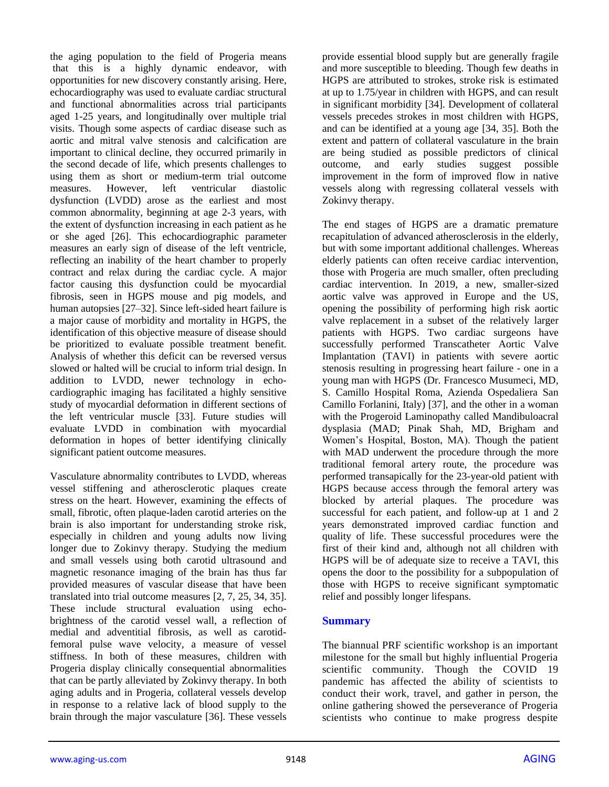the aging population to the field of Progeria means that this is a highly dynamic endeavor, with opportunities for new discovery constantly arising. Here, echocardiography was used to evaluate cardiac structural and functional abnormalities across trial participants aged 1-25 years, and longitudinally over multiple trial visits. Though some aspects of cardiac disease such as aortic and mitral valve stenosis and calcification are important to clinical decline, they occurred primarily in the second decade of life, which presents challenges to using them as short or medium-term trial outcome measures. However, left ventricular diastolic dysfunction (LVDD) arose as the earliest and most common abnormality, beginning at age 2-3 years, with the extent of dysfunction increasing in each patient as he or she aged [26]. This echocardiographic parameter measures an early sign of disease of the left ventricle, reflecting an inability of the heart chamber to properly contract and relax during the cardiac cycle. A major factor causing this dysfunction could be myocardial fibrosis, seen in HGPS mouse and pig models, and human autopsies [27–32]. Since left-sided heart failure is a major cause of morbidity and mortality in HGPS, the identification of this objective measure of disease should be prioritized to evaluate possible treatment benefit. Analysis of whether this deficit can be reversed versus slowed or halted will be crucial to inform trial design. In addition to LVDD, newer technology in echocardiographic imaging has facilitated a highly sensitive study of myocardial deformation in different sections of the left ventricular muscle [33]. Future studies will evaluate LVDD in combination with myocardial deformation in hopes of better identifying clinically significant patient outcome measures.

Vasculature abnormality contributes to LVDD, whereas vessel stiffening and atherosclerotic plaques create stress on the heart. However, examining the effects of small, fibrotic, often plaque-laden carotid arteries on the brain is also important for understanding stroke risk, especially in children and young adults now living longer due to Zokinvy therapy. Studying the medium and small vessels using both carotid ultrasound and magnetic resonance imaging of the brain has thus far provided measures of vascular disease that have been translated into trial outcome measures [2, 7, 25, 34, 35]. These include structural evaluation using echobrightness of the carotid vessel wall, a reflection of medial and adventitial fibrosis, as well as carotidfemoral pulse wave velocity, a measure of vessel stiffness. In both of these measures, children with Progeria display clinically consequential abnormalities that can be partly alleviated by Zokinvy therapy. In both aging adults and in Progeria, collateral vessels develop in response to a relative lack of blood supply to the brain through the major vasculature [36]. These vessels

provide essential blood supply but are generally fragile and more susceptible to bleeding. Though few deaths in HGPS are attributed to strokes, stroke risk is estimated at up to 1.75/year in children with HGPS, and can result in significant morbidity [34]. Development of collateral vessels precedes strokes in most children with HGPS, and can be identified at a young age [34, 35]. Both the extent and pattern of collateral vasculature in the brain are being studied as possible predictors of clinical outcome, and early studies suggest possible improvement in the form of improved flow in native vessels along with regressing collateral vessels with Zokinvy therapy.

The end stages of HGPS are a dramatic premature recapitulation of advanced atherosclerosis in the elderly, but with some important additional challenges. Whereas elderly patients can often receive cardiac intervention, those with Progeria are much smaller, often precluding cardiac intervention. In 2019, a new, smaller-sized aortic valve was approved in Europe and the US, opening the possibility of performing high risk aortic valve replacement in a subset of the relatively larger patients with HGPS. Two cardiac surgeons have successfully performed Transcatheter Aortic Valve Implantation (TAVI) in patients with severe aortic stenosis resulting in progressing heart failure - one in a young man with HGPS (Dr. Francesco Musumeci, MD, S. Camillo Hospital Roma, Azienda Ospedaliera San Camillo Forlanini, Italy) [37], and the other in a woman with the Progeroid Laminopathy called Mandibuloacral dysplasia (MAD; Pinak Shah, MD, Brigham and Women's Hospital, Boston, MA). Though the patient with MAD underwent the procedure through the more traditional femoral artery route, the procedure was performed transapically for the 23-year-old patient with HGPS because access through the femoral artery was blocked by arterial plaques. The procedure was successful for each patient, and follow-up at 1 and 2 years demonstrated improved cardiac function and quality of life. These successful procedures were the first of their kind and, although not all children with HGPS will be of adequate size to receive a TAVI, this opens the door to the possibility for a subpopulation of those with HGPS to receive significant symptomatic relief and possibly longer lifespans.

## **Summary**

The biannual PRF scientific workshop is an important milestone for the small but highly influential Progeria scientific community. Though the COVID 19 pandemic has affected the ability of scientists to conduct their work, travel, and gather in person, the online gathering showed the perseverance of Progeria scientists who continue to make progress despite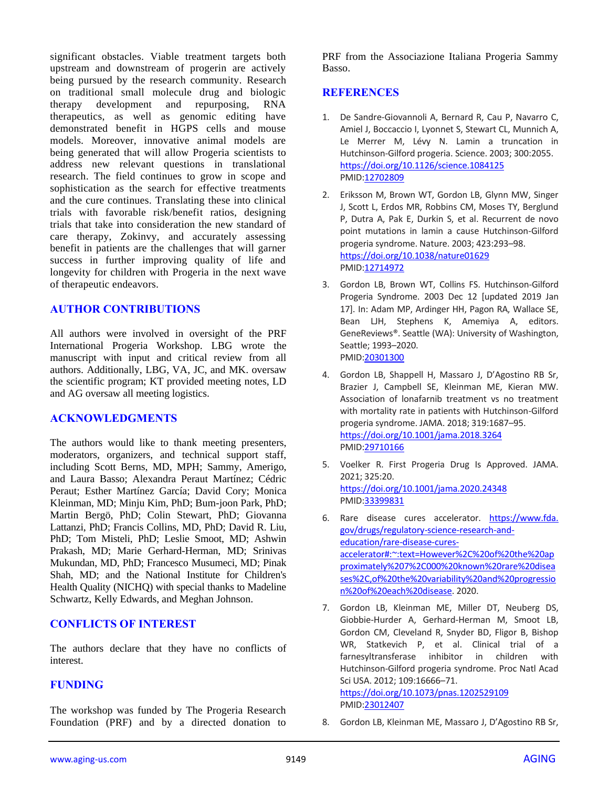significant obstacles. Viable treatment targets both upstream and downstream of progerin are actively being pursued by the research community. Research on traditional small molecule drug and biologic therapy development and repurposing, RNA therapeutics, as well as genomic editing have demonstrated benefit in HGPS cells and mouse models. Moreover, innovative animal models are being generated that will allow Progeria scientists to address new relevant questions in translational research. The field continues to grow in scope and sophistication as the search for effective treatments and the cure continues. Translating these into clinical trials with favorable risk/benefit ratios, designing trials that take into consideration the new standard of care therapy, Zokinvy, and accurately assessing benefit in patients are the challenges that will garner success in further improving quality of life and longevity for children with Progeria in the next wave of therapeutic endeavors.

#### **AUTHOR CONTRIBUTIONS**

All authors were involved in oversight of the PRF International Progeria Workshop. LBG wrote the manuscript with input and critical review from all authors. Additionally, LBG, VA, JC, and MK. oversaw the scientific program; KT provided meeting notes, LD and AG oversaw all meeting logistics.

#### **ACKNOWLEDGMENTS**

The authors would like to thank meeting presenters, moderators, organizers, and technical support staff, including Scott Berns, MD, MPH; Sammy, Amerigo, and Laura Basso; Alexandra Peraut Martínez; Cédric Peraut; Esther Martínez García; David Cory; Monica Kleinman, MD; Minju Kim, PhD; Bum-joon Park, PhD; Martin Bergö, PhD; Colin Stewart, PhD; Giovanna Lattanzi, PhD; Francis Collins, MD, PhD; David R. Liu, PhD; Tom Misteli, PhD; Leslie Smoot, MD; Ashwin Prakash, MD; Marie Gerhard-Herman, MD; Srinivas Mukundan, MD, PhD; Francesco Musumeci, MD; Pinak Shah, MD; and the National Institute for Children's Health Quality (NICHQ) with special thanks to Madeline Schwartz, Kelly Edwards, and Meghan Johnson.

#### **CONFLICTS OF INTEREST**

The authors declare that they have no conflicts of interest.

#### **FUNDING**

The workshop was funded by The Progeria Research Foundation (PRF) and by a directed donation to PRF from the Associazione Italiana Progeria Sammy Basso.

### **REFERENCES**

- 1. De Sandre-Giovannoli A, Bernard R, Cau P, Navarro C, Amiel J, Boccaccio I, Lyonnet S, Stewart CL, Munnich A, Le Merrer M, Lévy N. Lamin a truncation in Hutchinson-Gilford progeria. Science. 2003; 300:2055. <https://doi.org/10.1126/science.1084125> PMI[D:12702809](https://pubmed.ncbi.nlm.nih.gov/12702809)
- 2. Eriksson M, Brown WT, Gordon LB, Glynn MW, Singer J, Scott L, Erdos MR, Robbins CM, Moses TY, Berglund P, Dutra A, Pak E, Durkin S, et al. Recurrent de novo point mutations in lamin a cause Hutchinson-Gilford progeria syndrome. Nature. 2003; 423:293–98. <https://doi.org/10.1038/nature01629> PMI[D:12714972](https://pubmed.ncbi.nlm.nih.gov/12714972)
- 3. Gordon LB, Brown WT, Collins FS. Hutchinson-Gilford Progeria Syndrome. 2003 Dec 12 [updated 2019 Jan 17]. In: Adam MP, Ardinger HH, Pagon RA, Wallace SE, Bean LJH, Stephens K, Amemiya A, editors. GeneReviews®. Seattle (WA): University of Washington, Seattle; 1993–2020. PMI[D:20301300](https://pubmed.ncbi.nlm.nih.gov/20301300)
- 4. Gordon LB, Shappell H, Massaro J, D'Agostino RB Sr, Brazier J, Campbell SE, Kleinman ME, Kieran MW. Association of lonafarnib treatment vs no treatment with mortality rate in patients with Hutchinson-Gilford progeria syndrome. JAMA. 2018; 319:1687–95. <https://doi.org/10.1001/jama.2018.3264> PMI[D:29710166](https://pubmed.ncbi.nlm.nih.gov/29710166)
- 5. Voelker R. First Progeria Drug Is Approved. JAMA. 2021; 325:20. <https://doi.org/10.1001/jama.2020.24348> PMI[D:33399831](https://pubmed.ncbi.nlm.nih.gov/33399831)
- 6. Rare disease cures accelerator. [https://www.fda.](https://www.fda.gov/drugs/regulatory-science-research-and-education/rare-disease-cures-accelerator#:~:text=However%2C%20of%20the%20approximately%207%2C000%20known%20rare%20diseases%2C,of%20the%20variability%20and%20progression%20of%20each%20disease) [gov/drugs/regulatory-science-research-and](https://www.fda.gov/drugs/regulatory-science-research-and-education/rare-disease-cures-accelerator#:~:text=However%2C%20of%20the%20approximately%207%2C000%20known%20rare%20diseases%2C,of%20the%20variability%20and%20progression%20of%20each%20disease)[education/rare-disease-cures](https://www.fda.gov/drugs/regulatory-science-research-and-education/rare-disease-cures-accelerator#:~:text=However%2C%20of%20the%20approximately%207%2C000%20known%20rare%20diseases%2C,of%20the%20variability%20and%20progression%20of%20each%20disease)[accelerator#:~:text=However%2C%20of%20the%20ap](https://www.fda.gov/drugs/regulatory-science-research-and-education/rare-disease-cures-accelerator#:~:text=However%2C%20of%20the%20approximately%207%2C000%20known%20rare%20diseases%2C,of%20the%20variability%20and%20progression%20of%20each%20disease) [proximately%207%2C000%20known%20rare%20disea](https://www.fda.gov/drugs/regulatory-science-research-and-education/rare-disease-cures-accelerator#:~:text=However%2C%20of%20the%20approximately%207%2C000%20known%20rare%20diseases%2C,of%20the%20variability%20and%20progression%20of%20each%20disease) [ses%2C,of%20the%20variability%20and%20progressio](https://www.fda.gov/drugs/regulatory-science-research-and-education/rare-disease-cures-accelerator#:~:text=However%2C%20of%20the%20approximately%207%2C000%20known%20rare%20diseases%2C,of%20the%20variability%20and%20progression%20of%20each%20disease) [n%20of%20each%20disease.](https://www.fda.gov/drugs/regulatory-science-research-and-education/rare-disease-cures-accelerator#:~:text=However%2C%20of%20the%20approximately%207%2C000%20known%20rare%20diseases%2C,of%20the%20variability%20and%20progression%20of%20each%20disease) 2020.
- 7. Gordon LB, Kleinman ME, Miller DT, Neuberg DS, Giobbie-Hurder A, Gerhard-Herman M, Smoot LB, Gordon CM, Cleveland R, Snyder BD, Fligor B, Bishop WR, Statkevich P, et al. Clinical trial of a farnesyltransferase inhibitor in children with Hutchinson-Gilford progeria syndrome. Proc Natl Acad Sci USA. 2012; 109:16666-71. <https://doi.org/10.1073/pnas.1202529109>

PMI[D:23012407](https://pubmed.ncbi.nlm.nih.gov/23012407)

8. Gordon LB, Kleinman ME, Massaro J, D'Agostino RB Sr,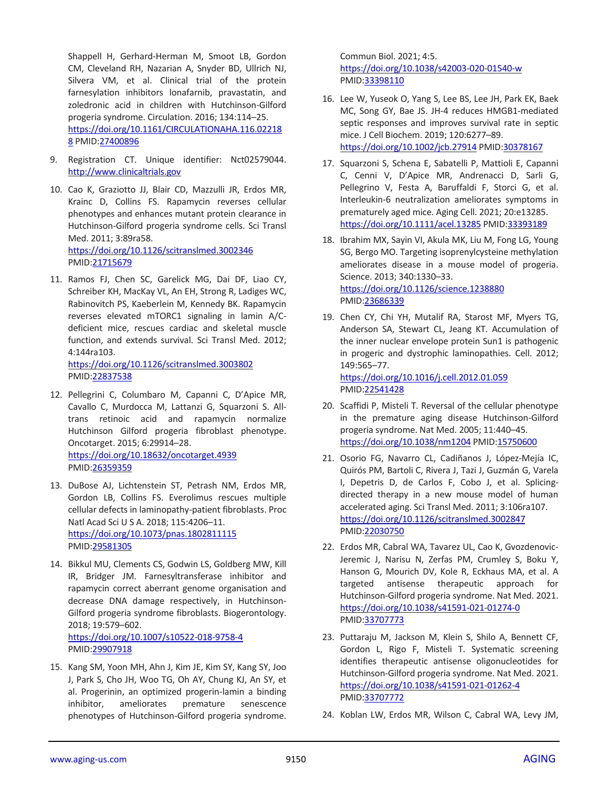Shappell H, Gerhard-Herman M, Smoot LB, Gordon CM, Cleveland RH, Nazarian A, Snyder BD, Ullrich NJ, Silvera VM, et al. Clinical trial of the protein farnesylation inhibitors lonafarnib, pravastatin, and zoledronic acid in children with Hutchinson-Gilford progeria syndrome. Circulation. 2016; 134:114–25. [https://doi.org/10.1161/CIRCULATIONAHA.116.02218](https://doi.org/10.1161/CIRCULATIONAHA.116.022188) [8](https://doi.org/10.1161/CIRCULATIONAHA.116.022188) PMID[:27400896](https://pubmed.ncbi.nlm.nih.gov/27400896)

- 9. Registration CT. Unique identifier: Nct02579044. [http://www.clinicaltrials.gov](http://www.clinicaltrials.gov/)
- 10. Cao K, Graziotto JJ, Blair CD, Mazzulli JR, Erdos MR, Krainc D, Collins FS. Rapamycin reverses cellular phenotypes and enhances mutant protein clearance in Hutchinson-Gilford progeria syndrome cells. Sci Transl Med. 2011; 3:89ra58. <https://doi.org/10.1126/scitranslmed.3002346> PMID[:21715679](https://pubmed.ncbi.nlm.nih.gov/21715679)
- 11. Ramos FJ, Chen SC, Garelick MG, Dai DF, Liao CY, Schreiber KH, MacKay VL, An EH, Strong R, Ladiges WC, Rabinovitch PS, Kaeberlein M, Kennedy BK. Rapamycin reverses elevated mTORC1 signaling in lamin A/Cdeficient mice, rescues cardiac and skeletal muscle function, and extends survival. Sci Transl Med. 2012; 4:144ra103.

<https://doi.org/10.1126/scitranslmed.3003802> PMID[:22837538](https://pubmed.ncbi.nlm.nih.gov/22837538)

- 12. Pellegrini C, Columbaro M, Capanni C, D'Apice MR, Cavallo C, Murdocca M, Lattanzi G, Squarzoni S. Alltrans retinoic acid and rapamycin normalize Hutchinson Gilford progeria fibroblast phenotype. Oncotarget. 2015; 6:29914–28. <https://doi.org/10.18632/oncotarget.4939> PMID[:26359359](https://pubmed.ncbi.nlm.nih.gov/26359359)
- 13. DuBose AJ, Lichtenstein ST, Petrash NM, Erdos MR, Gordon LB, Collins FS. Everolimus rescues multiple cellular defects in laminopathy-patient fibroblasts. Proc Natl Acad Sci U S A. 2018; 115:4206–11. <https://doi.org/10.1073/pnas.1802811115> PMID[:29581305](https://pubmed.ncbi.nlm.nih.gov/29581305)
- 14. Bikkul MU, Clements CS, Godwin LS, Goldberg MW, Kill IR, Bridger JM. Farnesyltransferase inhibitor and rapamycin correct aberrant genome organisation and decrease DNA damage respectively, in Hutchinson-Gilford progeria syndrome fibroblasts. Biogerontology. 2018; 19:579–602. <https://doi.org/10.1007/s10522-018-9758-4> PMID[:29907918](https://pubmed.ncbi.nlm.nih.gov/29907918)
- 15. Kang SM, Yoon MH, Ahn J, Kim JE, Kim SY, Kang SY, Joo J, Park S, Cho JH, Woo TG, Oh AY, Chung KJ, An SY, et al. Progerinin, an optimized progerin-lamin a binding inhibitor, ameliorates premature senescence phenotypes of Hutchinson-Gilford progeria syndrome.

Commun Biol. 2021; 4:5. <https://doi.org/10.1038/s42003-020-01540-w> PMI[D:33398110](https://pubmed.ncbi.nlm.nih.gov/33398110)

- 16. Lee W, Yuseok O, Yang S, Lee BS, Lee JH, Park EK, Baek MC, Song GY, Bae JS. JH-4 reduces HMGB1-mediated septic responses and improves survival rate in septic mice. J Cell Biochem. 2019; 120:6277–89. <https://doi.org/10.1002/jcb.27914> PMID[:30378167](https://pubmed.ncbi.nlm.nih.gov/30378167)
- 17. Squarzoni S, Schena E, Sabatelli P, Mattioli E, Capanni C, Cenni V, D'Apice MR, Andrenacci D, Sarli G, Pellegrino V, Festa A, Baruffaldi F, Storci G, et al. Interleukin-6 neutralization ameliorates symptoms in prematurely aged mice. Aging Cell. 2021; 20:e13285. <https://doi.org/10.1111/acel.13285> PMI[D:33393189](https://pubmed.ncbi.nlm.nih.gov/33393189)
- 18. Ibrahim MX, Sayin VI, Akula MK, Liu M, Fong LG, Young SG, Bergo MO. Targeting isoprenylcysteine methylation ameliorates disease in a mouse model of progeria. Science. 2013; 340:1330–33. <https://doi.org/10.1126/science.1238880> PMI[D:23686339](https://pubmed.ncbi.nlm.nih.gov/23686339)
- 19. Chen CY, Chi YH, Mutalif RA, Starost MF, Myers TG, Anderson SA, Stewart CL, Jeang KT. Accumulation of the inner nuclear envelope protein Sun1 is pathogenic in progeric and dystrophic laminopathies. Cell. 2012; 149:565–77. <https://doi.org/10.1016/j.cell.2012.01.059>

PMI[D:22541428](https://pubmed.ncbi.nlm.nih.gov/22541428)

- 20. Scaffidi P, Misteli T. Reversal of the cellular phenotype in the premature aging disease Hutchinson-Gilford progeria syndrome. Nat Med. 2005; 11:440–45. <https://doi.org/10.1038/nm1204> PMID[:15750600](https://pubmed.ncbi.nlm.nih.gov/15750600)
- 21. Osorio FG, Navarro CL, Cadiñanos J, López-Mejía IC, Quirós PM, Bartoli C, Rivera J, Tazi J, Guzmán G, Varela I, Depetris D, de Carlos F, Cobo J, et al. Splicingdirected therapy in a new mouse model of human accelerated aging. Sci Transl Med. 2011; 3:106ra107. <https://doi.org/10.1126/scitranslmed.3002847> PMI[D:22030750](https://pubmed.ncbi.nlm.nih.gov/22030750)
- 22. Erdos MR, Cabral WA, Tavarez UL, Cao K, Gvozdenovic-Jeremic J, Narisu N, Zerfas PM, Crumley S, Boku Y, Hanson G, Mourich DV, Kole R, Eckhaus MA, et al. A targeted antisense therapeutic approach for Hutchinson-Gilford progeria syndrome. Nat Med. 2021. <https://doi.org/10.1038/s41591-021-01274-0> PMI[D:33707773](https://pubmed.ncbi.nlm.nih.gov/33707773)
- 23. Puttaraju M, Jackson M, Klein S, Shilo A, Bennett CF, Gordon L, Rigo F, Misteli T. Systematic screening identifies therapeutic antisense oligonucleotides for Hutchinson-Gilford progeria syndrome. Nat Med. 2021. <https://doi.org/10.1038/s41591-021-01262-4> PMI[D:33707772](https://pubmed.ncbi.nlm.nih.gov/33707772)
- 24. Koblan LW, Erdos MR, Wilson C, Cabral WA, Levy JM,